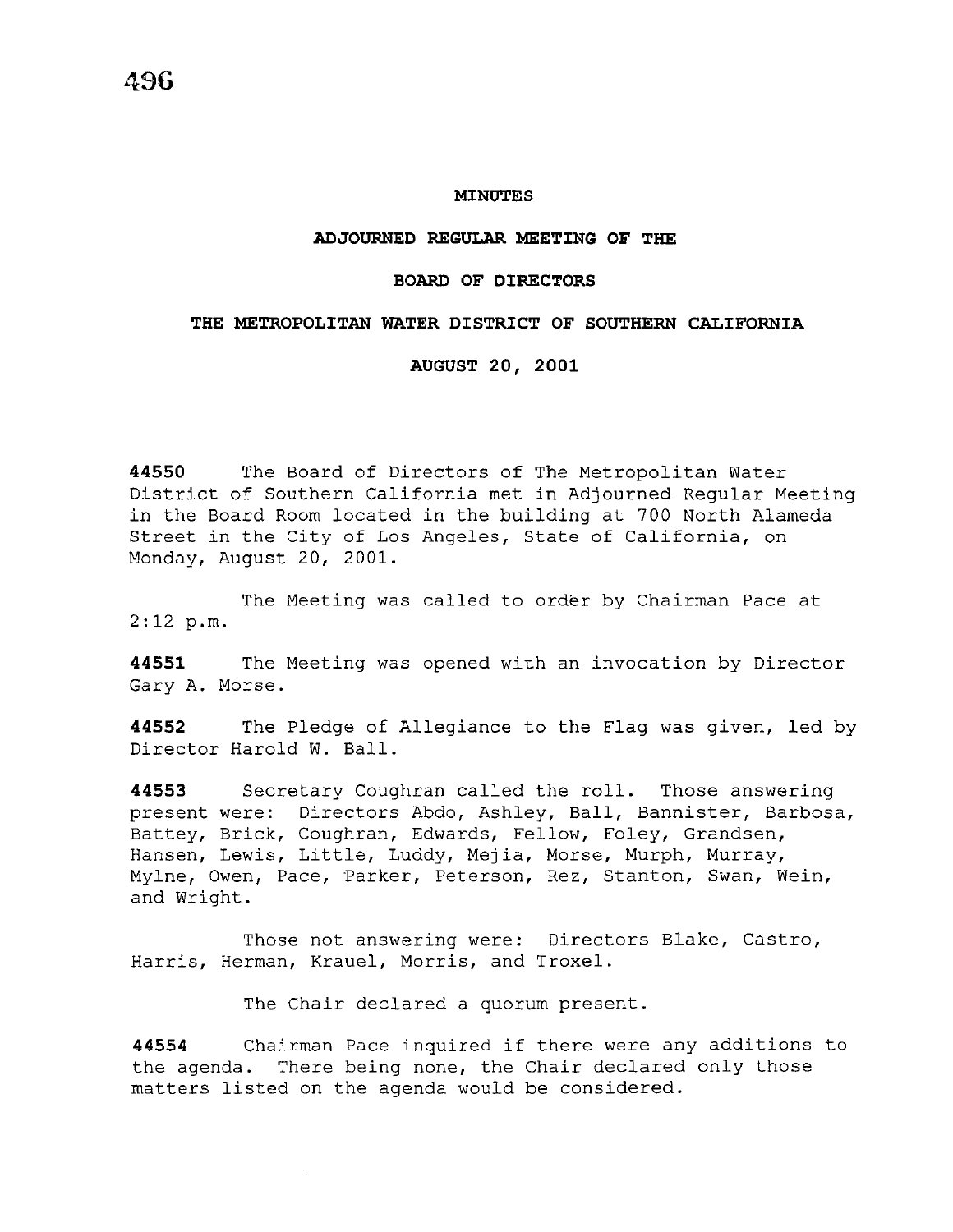### **MINUTES**

## **ADJOURNED REGULAR MEETING OF THE**

### **BOARD OF DIRECTORS**

## **THE METROPOLITAN WATER DISTRICT OF SOUTHERN CALIFORNIA**

**AUGUST 20, 2001** 

**44550** The Board of Directors of The Metropolitan Water District of Southern California met in Adjourned Regular Meeting in the Board Room located in the building at 700 North Alameda Street in the City of Los Angeles, State of California, on Monday, August 20, 2001.

The Meeting was called to order by Chairman Pace at  $2:12 p.m.$ 

**44551** The Meeting was opened with an invocation by Director Gary A. Morse.

**44552** The Pledge of Allegiance to the Flag was given, led by Director Harold W. Ball.

**44553** Secretary Coughran called the roll. Those answering present were: Directors Abdo, Ashley, Ball, Bannister, Barbosa, Battey, Brick, Coughran, Edwards, Fellow, Foley, Grandsen, Hansen, Lewis, Little, Luddy, Mejia, Morse, Murph, Murray, Mylne, Owen, Pace, Parker, Peterson, Rez, Stanton, Swan, Wein, and Wright.

Those not answering were: Directors Blake, Castro, Harris, Herman, Krauel, Morris, and Troxel.

The Chair declared a quorum present.

**<sup>44554</sup>**Chairman Pace inquired if there were any additions to the agenda. There being none, the Chair declared only those matters listed on the agenda would be considered.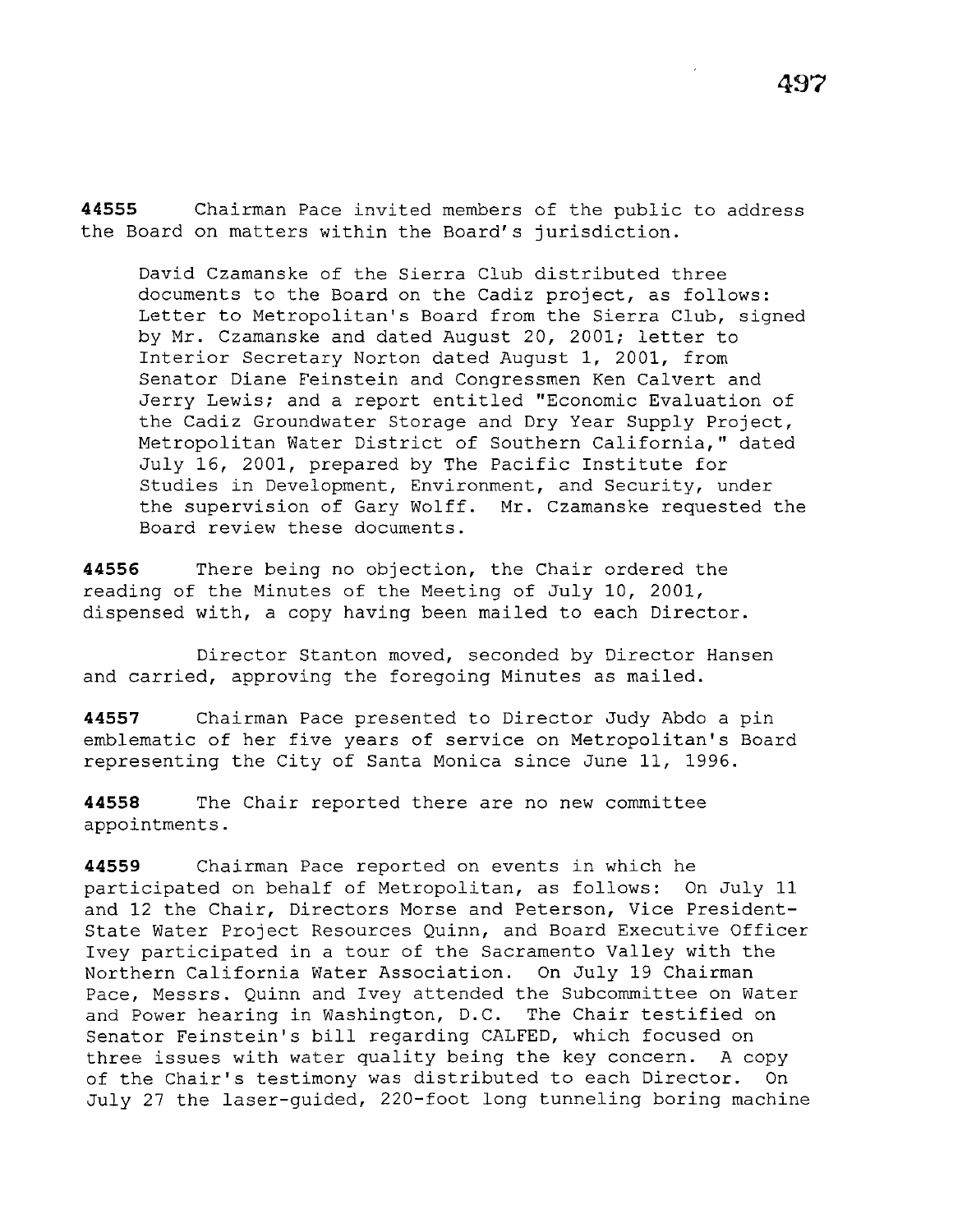**44555** Chairman Pace invited members of the public to address the Board on matters within the Board's jurisdiction.

David Czamanske of the Sierra Club distributed three documents to the Board on the Cadiz project, as follows: Letter to Metropolitan's Board from the Sierra Club, signed by Mr. Czamanske and dated August 20, 2001; letter to Interior Secretary Norton dated August 1, 2001, from Senator Diane Feinstein and Congressmen Ken Calvert and Jerry Lewis; and a report entitled "Economic Evaluation of the Cadiz Groundwater Storage and Dry Year Supply Project, Metropolitan Water District of Southern California," dated July 16, 2001, prepared by The Pacific Institute for Studies in Development, Environment, and Security, under the supervision of Gary Wolff. Mr. Czamanske requested the Board review these documents.

**44556** There being no objection, the Chair ordered the reading of the Minutes of the Meeting of July 10, 2001, dispensed with, a copy having been mailed to each Director.

Director Stanton moved, seconded by Director Hansen and carried, approving the foregoing Minutes as mailed.

**44557** Chairman Pace presented to Director Judy Abdo a pin emblematic of her five years of service on Metropolitan's Board representing the City of Santa Monica since June 11, 1996.

**44558** The Chair reported there are no new committee appointments.

**44559** Chairman Pace reported on events in which he participated on behalf of Metropolitan, as follows: On July 11 and 12 the Chair, Directors Morse and Peterson, Vice President-State Water Project Resources Quinn, and Board Executive Officer Ivey participated in a tour of the Sacramento Valley with the Northern California Water Association. On July 19 Chairman Pace, Messrs. Quinn and Ivey attended the Subcommittee on Water and Power hearing in Washington, D.C. The Chair testified on Senator Feinstein's bill regarding CALFED, which focused on three issues with water quality being the key concern. A copy of the Chair's testimony was distributed to each Director. On July 27 the laser-guided, 220-foot long tunneling boring machine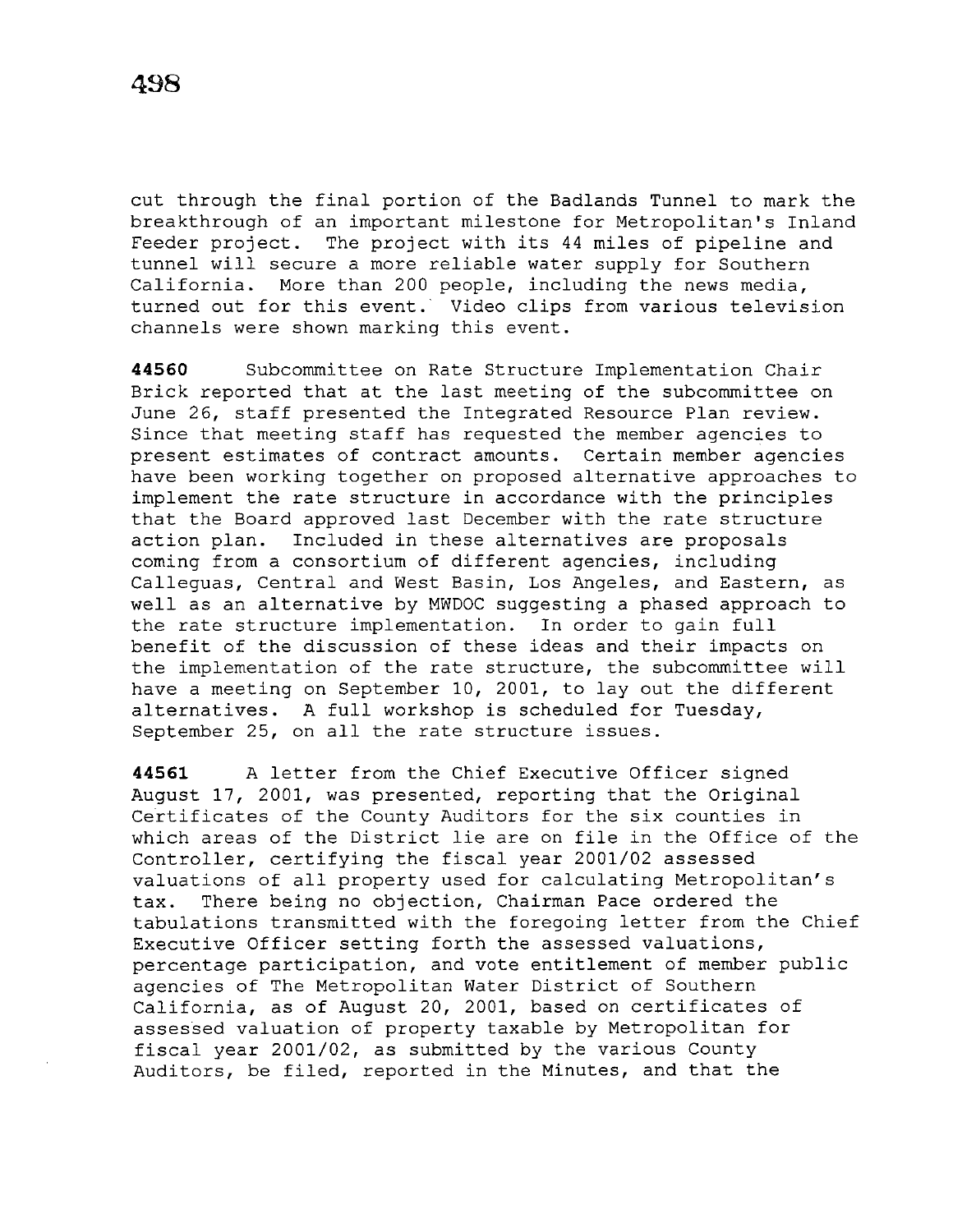cut through the final portion of the Badlands Tunnel to mark the breakthrough of an important milestone for Metropolitan's Inland Feeder project. The project with its 44 miles of pipeline and tunnel will secure a more reliable water supply for Southern California. More than 200 people, including the news media, turned out for this event. Video clips from various television channels were shown marking this event.

**44560** Subcommittee on Rate Structure Implementation Chair Brick reported that at the last meeting of the subcommittee on June 26, staff presented the Integrated Resource Plan review. Since that meeting staff has requested the member agencies to present estimates of contract amounts. Certain member agencies have been working together on proposed alternative approaches to implement the rate structure in accordance with the principles that the Board approved last December with the rate structure action plan. Included in these alternatives are proposals coming from a consortium of different agencies, including Calleguas, Central and West Basin, Los Angeles, and Eastern, as well as an alternative by MWDOC suggesting a phased approach to the rate structure implementation. In order to gain full benefit of the discussion of these ideas and their impacts on the implementation of the rate structure, the subcommittee will have a meeting on September 10, 2001, to lay out the different alternatives. A full workshop is scheduled for Tuesday, September 25, on all the rate structure issues.

**44561** A letter from the Chief Executive Officer signed August 17, 2001, was presented, reporting that the Original Certificates of the County Auditors for the six counties in which areas of the District lie are on file in the Office of the Controller, certifying the fiscal year 2001/02 assessed valuations of all property used for calculating Metropolitan's tax. There being no objection, Chairman Pace ordered the tabulations transmitted with the foregoing letter from the Chief Executive Officer setting forth the assessed valuations, percentage participation, and vote entitlement of member public agencies of The Metropolitan Water District of Southern California, as of August 20, 2001, based on certificates of assessed valuation of property taxable by Metropolitan for fiscal year 2001/02, as submitted by the various County Auditors, be filed, reported in the Minutes, and that the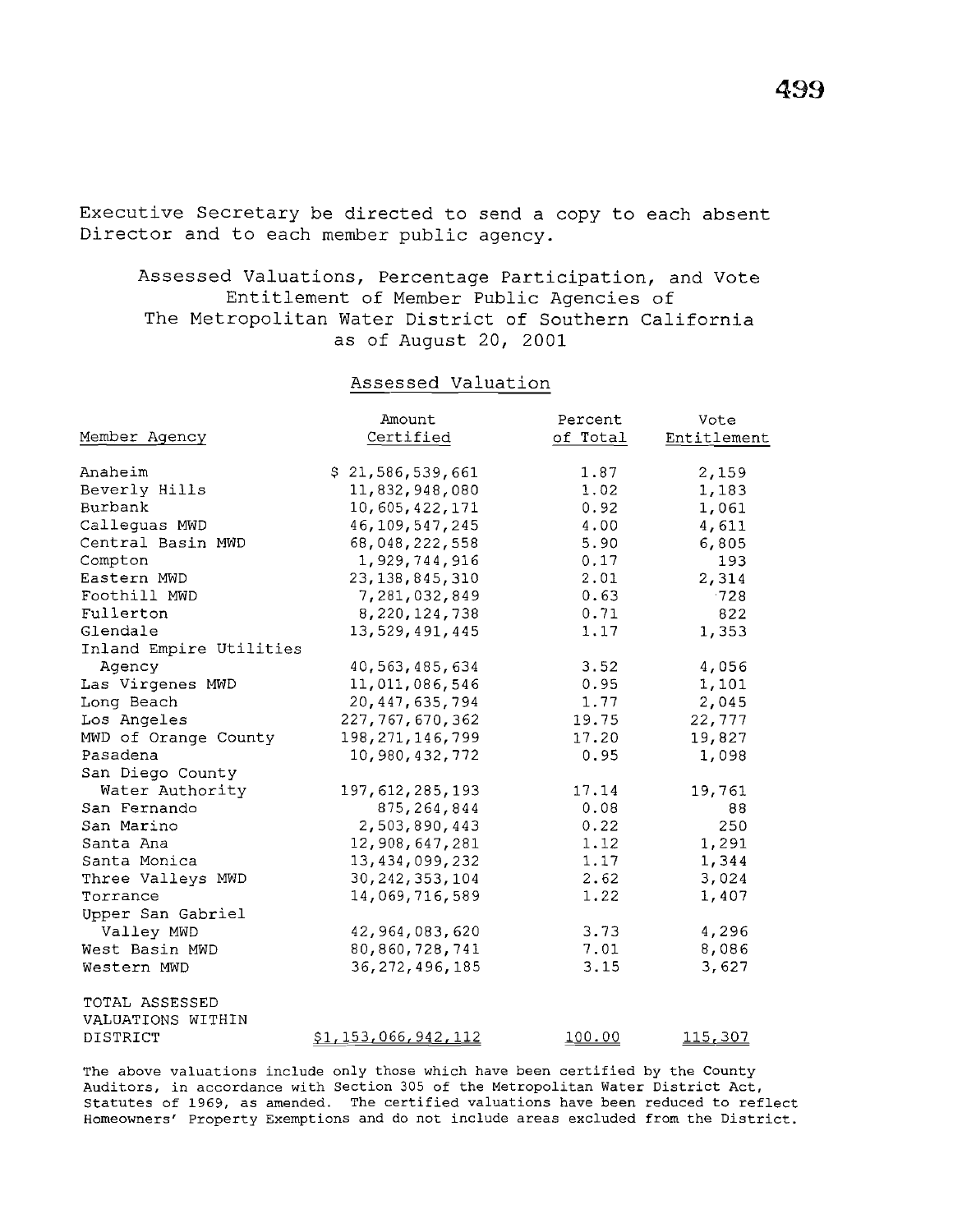Executive Secretary be directed to send a copy to each absent Director and to each member public agency.

Assessed Valuations, Percentage Participation, and Vote Entitlement of Member Public Agencies of The Metropolitan Water District of Southern California as of August 20, 2001

## Assessed Valuation

|                         | Amount                     | Percent  | Vote        |
|-------------------------|----------------------------|----------|-------------|
| Member Agency           | Certified                  | of Total | Entitlement |
|                         |                            |          |             |
| Anaheim                 | \$21,586,539,661           | 1.87     | 2,159       |
| Beverly Hills           | 11,832,948,080             | 1.02     | 1,183       |
| Burbank                 | 10,605,422,171             | 0.92     | 1,061       |
| Calleguas MWD           | 46, 109, 547, 245          | 4.00     | 4,611       |
| Central Basin MWD       | 68,048,222,558             | 5.90     | 6,805       |
| Compton                 | 1,929,744,916              | 0.17     | 193         |
| Eastern MWD             | 23, 138, 845, 310          | 2.01     | 2,314       |
| Foothill MWD            | 7,281,032,849              | 0.63     | $-728$      |
| Fullerton               | 8,220,124,738              | 0.71     | 822         |
| Glendale                | 13,529,491,445             | 1.17     | 1,353       |
| Inland Empire Utilities |                            |          |             |
| Agency                  | 40, 563, 485, 634          | 3.52     | 4,056       |
| Las Virgenes MWD        | 11,011,086,546             | 0.95     | 1,101       |
| Long Beach              | 20, 447, 635, 794          | 1.77     | 2,045       |
| Los Angeles             | 227, 767, 670, 362         | 19.75    | 22,777      |
| MWD of Orange County    | 198, 271, 146, 799         | 17.20    | 19,827      |
| Pasadena                | 10,980,432,772             | 0.95     | 1,098       |
| San Diego County        |                            |          |             |
| Water Authority         | 197, 612, 285, 193         | 17.14    | 19,761      |
| San Fernando            | 875, 264, 844              | 0.08     | 88          |
| San Marino              | 2,503,890,443              | 0.22     | 250         |
| Santa Ana               | 12,908,647,281             | 1.12     | 1,291       |
| Santa Monica            | 13,434,099,232             | 1.17     | 1,344       |
| Three Valleys MWD       | 30, 242, 353, 104          | 2.62     | 3,024       |
| Torrance                | 14,069,716,589             | 1.22     | 1,407       |
| Upper San Gabriel       |                            |          |             |
| Valley MWD              | 42,964,083,620             | 3.73     | 4,296       |
| West Basin MWD          | 80,860,728,741             | 7.01     | 8,086       |
| Western MWD             | 36, 272, 496, 185          | 3.15     | 3,627       |
| TOTAL ASSESSED          |                            |          |             |
| VALUATIONS WITHIN       |                            |          |             |
| DISTRICT                | <u>\$1,153,066,942,112</u> | 100.00   | 115,307     |

The above valuations include only those which have been certified by the County Auditors, in accordance with Section 305 of the Metropolitan Water District Act, Statutes of 1969, as amended. The certified valuations have been reduced to reflect Homeowners' Property Exemptions and do not include areas excluded from the District.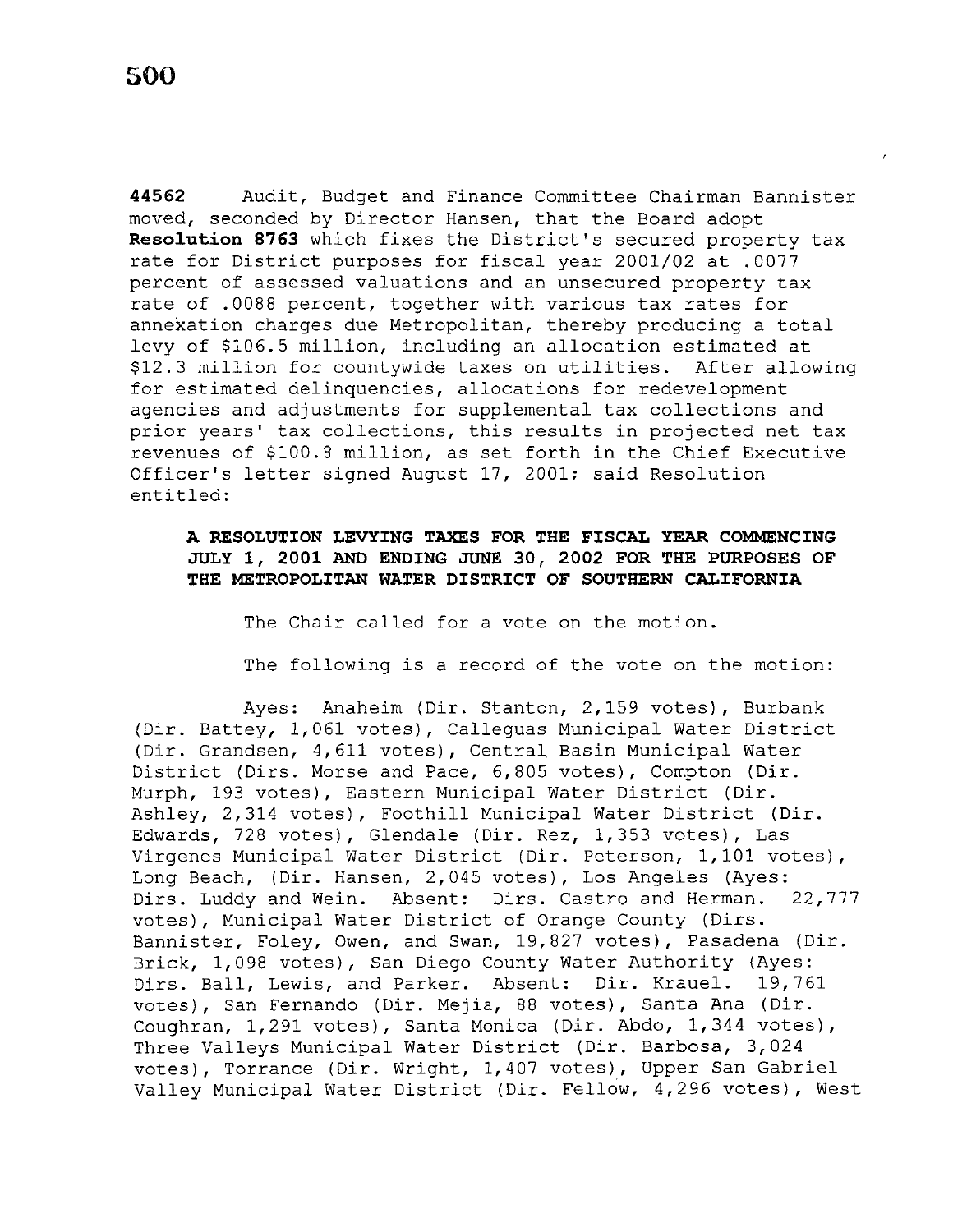**44562** Audit, Budget and Finance Committee Chairman Bannister moved, seconded by Director Hansen, that the Board adopt **Resolution 8763** which fixes the District's secured property tax rate for District purposes for fiscal year 2001/02 at .0077 percent of assessed valuations and an unsecured property tax rate of .0088 percent, together with various tax rates for annexation charges due Metropolitan, thereby producing a total levy of \$106.5 million, including an allocation estimated at \$12.3 million for countywide taxes on utilities. After allowing for estimated delinquencies, allocations for redevelopment agencies and adjustments for supplemental tax collections and prior years' tax collections, this results in projected net tax revenues of \$100.8 million, as set forth in the Chief Executive Officer's letter signed August 17, 2001; said Resolution entitled:

# **A RESOLUTION LEVYING TAXES FOR THE FISCAL YEAR COMMENCING JULY 1, 2001 AND ENDING JUNE** 30, **2002 FOR THE PURPOSES OF THE METROPOLITAN WATER DISTRICT OF SOUTHERN CALIFORNIA**

The Chair called for a vote on the motion.

The following is a record of the vote on the motion:

Ayes: Anaheim (Dir. Stanton, 2,159 votes), Burbank (Dir. Battey, 1,061 votes), Calleguas Municipal Water District (Dir. Grandsen, 4,611 votes), Central Basin Municipal Water District (Dirs. Morse and Pace, 6,805 votes), Compton (Dir. Murph, 193 votes), Eastern Municipal Water District (Dir. Ashley, 2,314 votes), Foothill Municipal Water District (Dir. Edwards, 728 votes), Glendale (Dir. Rez, 1,353 votes), Las Virgenes Municipal Water District (Dir. Peterson, 1,101 votes), Long Beach, (Dir. Hansen, 2,045 votes), Los Angeles (Ayes: Dirs. Luddy and Wein. Absent: Dirs. Castro and Herman. 22,777 votes), Municipal Water District of Orange County (Dirs. Bannister, Foley, Owen, and Swan, 19,827 votes), Pasadena (Dir. Brick, 1,098 votes), San Diego County Water Authority (Ayes: Dirs. Ball, Lewis, and Parker. Absent: Dir. Krauel. 19,761 votes), San Fernando (Dir. Mejia, 88 votes), Santa Ana (Dir. Coughran, 1,291 votes), Santa Monica (Dir. Abdo, 1,344 votes), Three Valleys Municipal Water District (Dir. Barbosa, 3,024 votes), Torrance (Dir. Wright, 1,407 votes), Upper San Gabriel Valley Municipal Water District (Dir. Fellow, 4,296 votes), West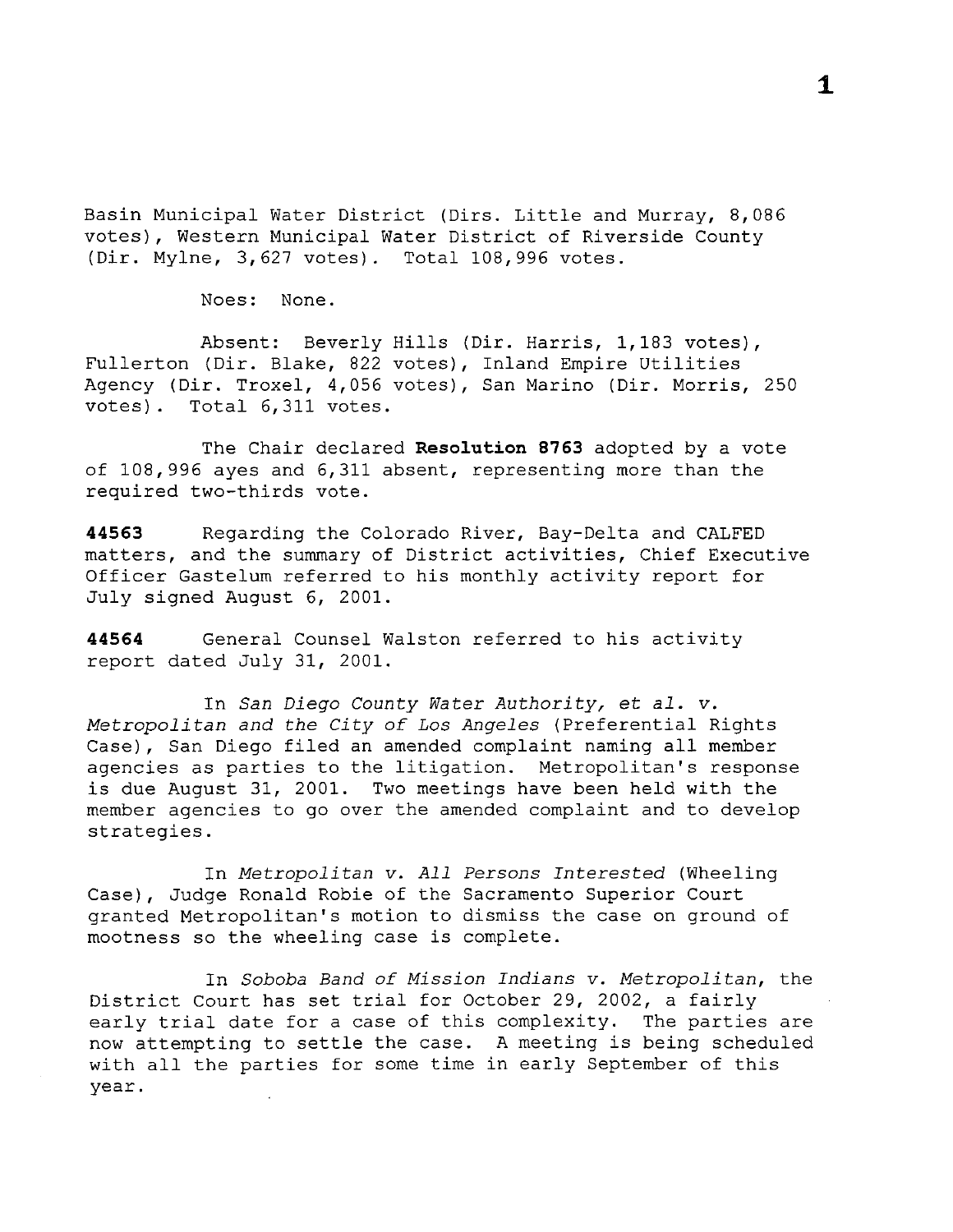Basin Municipal Water District (Dirs. Little and Murray, 8,086 votes), Western Municipal Water District of Riverside County (Dir. Mylne, 3,627 votes). Total 108,996 votes.

Noes: None.

Absent: Beverly Hills (Dir. Harris, 1,183 votes), Fullerton (Dir. Blake, 822 votes), Inland Empire Utilities Agency (Dir. Troxel, 4,056 votes), San Marino (Dir. Morris, 250 votes). Total 6,311 votes.

The Chair declared **Resolution 8763** adopted by a vote of 108,996 ayes and 6,311 absent, representing more than the required two-thirds vote.

**44563** Regarding the Colorado River, Bay-Delta and CALFED matters, and the summary of District activities, Chief Executive Officer Gastelum referred to his monthly activity report for July signed August 6, 2001.

**44564** General Counsel Walston referred to his activity report dated July 31, 2001.

In *San Diego County Water Authority,* et *al. v. Metropolitan and the City of Los Angeles* (Preferential Rights Case), San Diego filed an amended complaint naming all member agencies as parties to the litigation. Metropolitan's response is due August 31, 2001. Two meetings have been held with the member agencies to go over the amended complaint and to develop strategies.

In *Metropolitan v. All Persons Interested* (Wheeling Case), Judge Ronald Robie of the Sacramento Superior Court granted Metropolitan's motion to dismiss the case on ground of mootness so the wheeling case is complete.

In *Soboba Band of Mission Indians v. Metropolitan,* the District Court has set trial for October 29, 2002, a fairly early trial date for a case of this complexity. The parties are now attempting to settle the case. A meeting is being scheduled with all the parties for some time in early September of this year.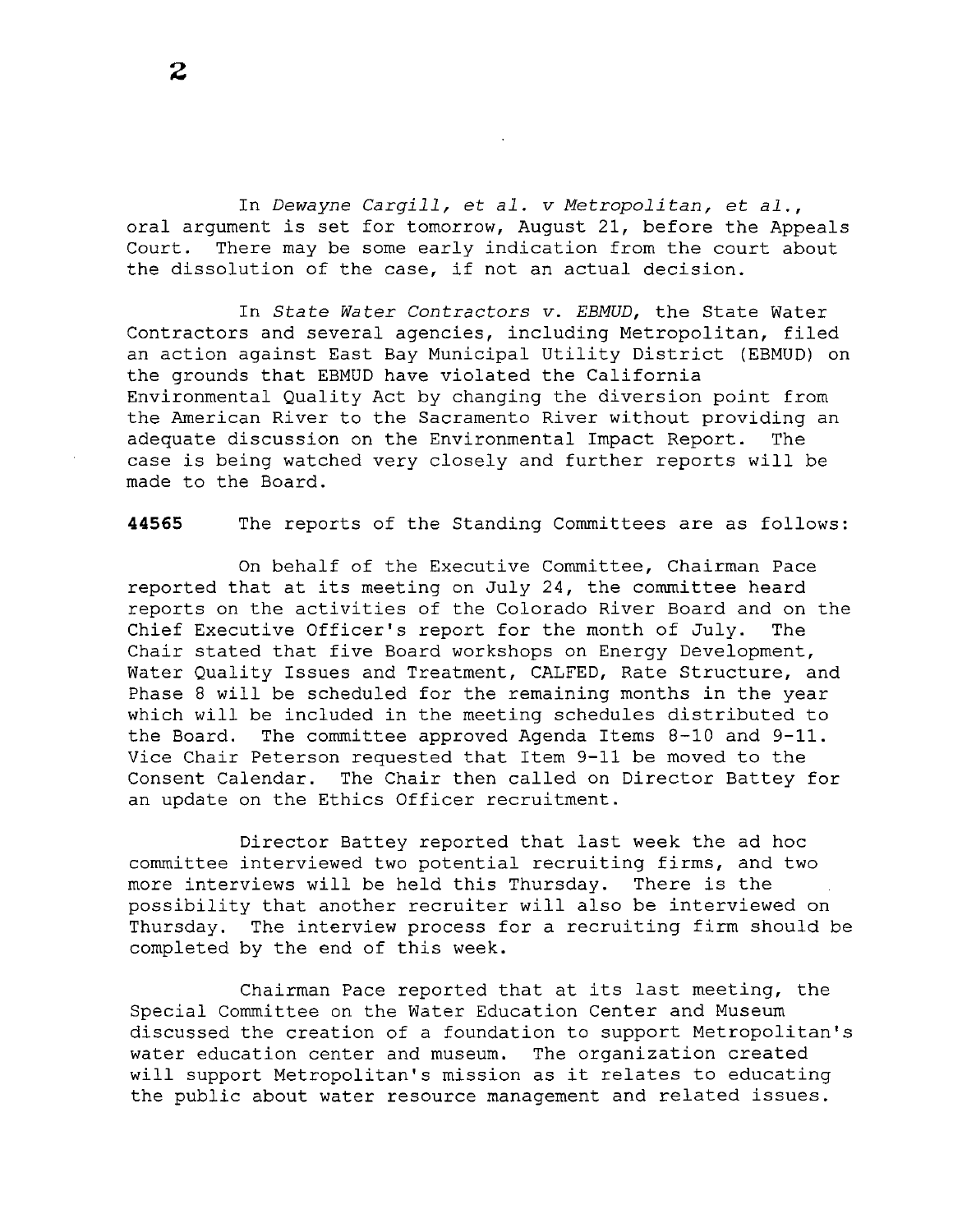In *Dewayne Cargill,* et *al. v Metropolitan,* et *al.,*  oral argument is set for tomorrow, August 21, before the Appeals<br>Court. There may be some early indication from the court about There may be some early indication from the court about the dissolution of the case, if not an actual decision.

In *State Water Contractors v. EBMUD,* the State Water Contractors and several agencies, including Metropolitan, filed an action against East Bay Municipal Utility District (EBMUD) on the grounds that EBMUD have violated the California Environmental Quality Act by changing the diversion point from the American River to the Sacramento River without providing an adequate discussion on the Environmental Impact Report. The case is being watched very closely and further reports will be made to the Board.

**44565** The reports of the Standing Committees are as follows:

On behalf of the Executive Committee, Chairman Pace reported that at its meeting on July 24, the committee heard reports on the activities of the Colorado River Board and on the Chief Executive Officer's report for the month of July. The Chair stated that five Board workshops on Energy Development, Water Quality Issues and Treatment, CALFED, Rate Structure, and Phase 8 will be scheduled for the remaining months in the year which will be included in the meeting schedules distributed to the Board. The committee approved Agenda Items 8-10 and 9-11. Vice Chair Peterson requested that Item 9-11 be moved to the Consent Calendar. The Chair then called on Director Battey for an update on the Ethics Officer recruitment.

Director Battey reported that last week the ad hoc committee interviewed two potential recruiting firms, and two more interviews will be held this Thursday. There is the possibility that another recruiter will also be interviewed on Thursday. The interview process for a recruiting firm should be completed by the end of this week.

Chairman Pace reported that at its last meeting, the Special Committee on the Water Education Center and Museum discussed the creation of a foundation to support Metropolitan's water education center and museum. The organization created will support Metropolitan's mission as it relates to educating the public about water resource management and related issues.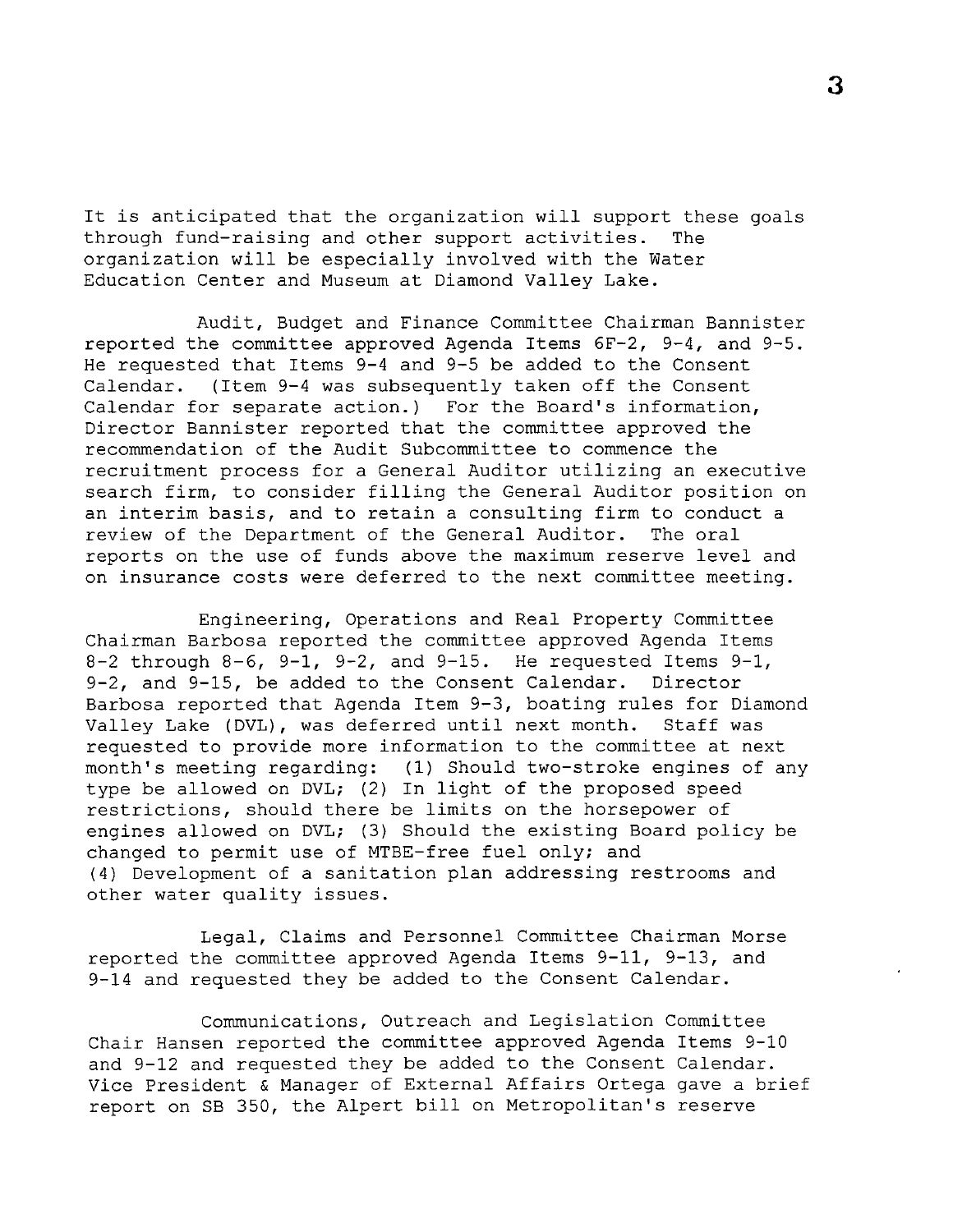It is anticipated that the organization will support these goals through fund-raising and other support activities. The organization will be especially involved with the Water Education Center and Museum at Diamond Valley Lake.

Audit, Budget and Finance Committee Chairman Bannister reported the committee approved Agenda Items 6F-2, 9-4, and 9-5. He requested that Items 9-4 and 9-5 be added to the Consent Calendar. (Item 9-4 was subsequently taken off the Consent Calendar for separate action.) For the Board's information, Director Bannister reported that the committee approved the recommendation of the Audit Subcommittee to commence the recruitment process for a General Auditor utilizing an executive search firm, to consider filling the General Auditor position on an interim basis, and to retain a consulting firm to conduct a review of the Department of the General Auditor. The oral reports on the use of funds above the maximum reserve level and on insurance costs were deferred to the next committee meeting.

Engineering, Operations and Real Property Committee Chairman Barbosa reported the committee approved Agenda Items  $8-2$  through  $8-6$ ,  $9-1$ ,  $9-2$ , and  $9-15$ . He requested Items  $9-1$ , 9-2, and 9-15, be added to the Consent Calendar. Director Barbosa reported that Agenda Item 9-3, boating rules for Diamond Valley Lake (DVL), was deferred until next month. Staff was requested to provide more information to the committee at next month's meeting regarding: (1) Should two-stroke engines of any type be allowed on DVL; (2) In light of the proposed speed restrictions, should there be limits on the horsepower of engines allowed on DVL; (3) Should the existing Board policy be changed to permit use of MTBE-free fuel only; and (4) Development of a sanitation plan addressing restrooms and other water quality issues.

Legal, Claims and Personnel Committee Chairman Morse reported the committee approved Agenda Items 9-11, 9-13, and 9-14 and requested they be added to the Consent Calendar.

Communications, Outreach and Legislation Committee Chair Hansen reported the committee approved Agenda Items 9-10 and 9-12 and requested they be added to the Consent Calendar. Vice President & Manager of External Affairs Ortega gave a brief report on SB 350, the Alpert bill on Metropolitan's reserve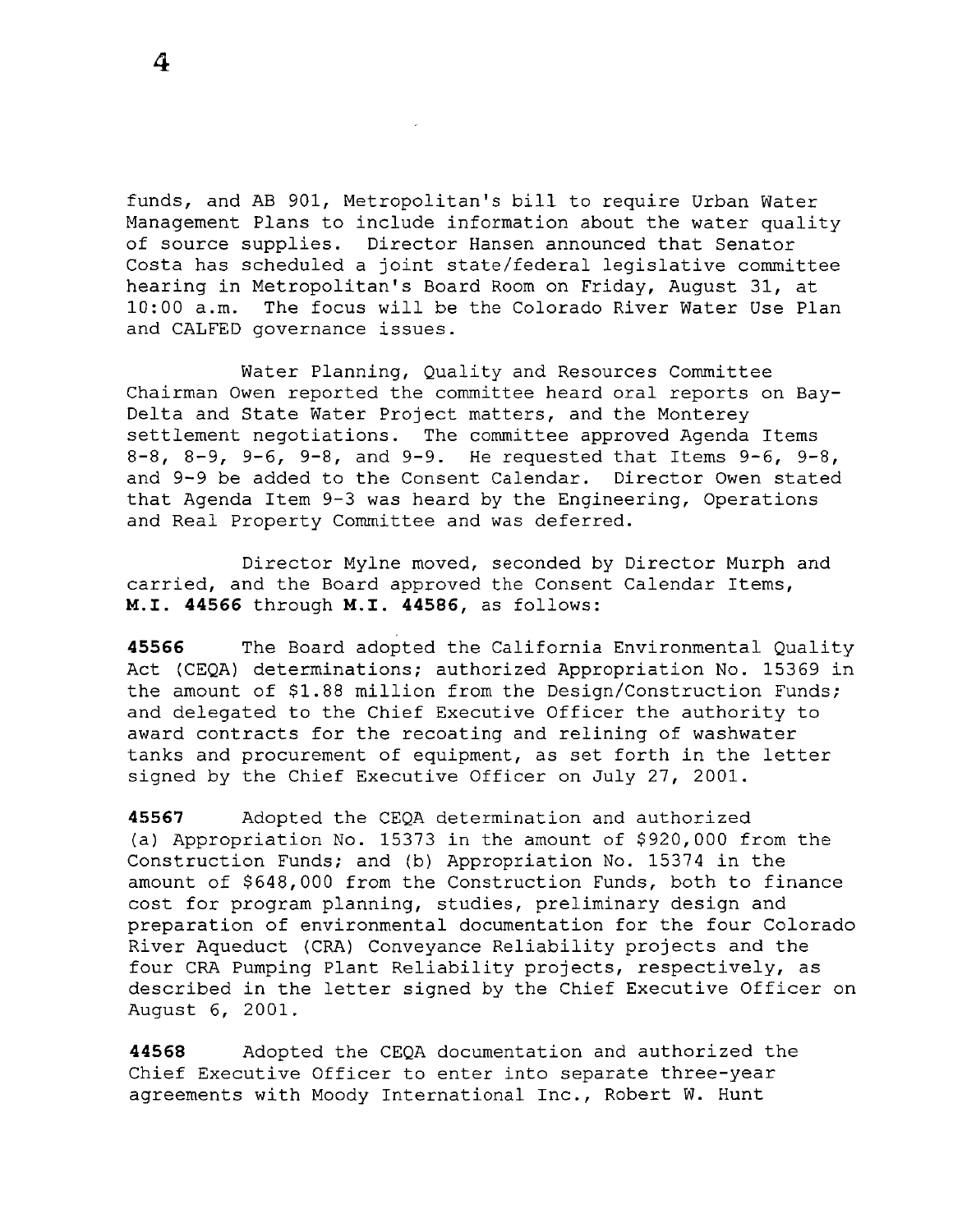funds, and AB 901, Metropolitan's bill to require Urban Water Management Plans to include information about the water quality of source supplies. Director Hansen announced that Senator Costa has scheduled a joint state/federal legislative committee hearing in Metropolitan's Board Room on Friday, August 31, at 10:00 a.m. The focus will be the Colorado River Water Use Plan and CALFED governance issues.

Water Planning, Quality and Resources Committee Chairman Owen reported the committee heard oral reports on Bay-Delta and State Water Project matters, and the Monterey settlement negotiations. The committee approved Agenda Items 8-8, 8-9, 9-6, 9-8, and 9-9. He requested that Items 9-6, 9-8, and 9-9 be added to the Consent Calendar. Director Owen stated that Agenda Item 9-3 was heard by the Engineering, Operations and Real Property Committee and was deferred.

Director Mylne moved, seconded by Director Murph and carried, and the Board approved the Consent Calendar Items, **M.I. 44566** through **M.I. 44586,** as follows:

**45566** The Board adopted the California Environmental Quality Act (CEQA) determinations; authorized Appropriation No. 15369 in the amount of \$1.88 million from the Design/Construction Funds; and delegated to the Chief Executive Officer the authority to award contracts for the recoating and relining of washwater tanks and procurement of equipment, as set forth in the letter signed by the Chief Executive Officer on July 27, 2001.

**45567** Adopted the CEQA determination and authorized (a) Appropriation No. 15373 in the amount of \$920,000 from the Construction Funds; and (b) Appropriation No. 15374 in the amount of \$648,000 from the Construction Funds, both to finance cost for program planning, studies, preliminary design and preparation of environmental documentation for the four Colorado River Aqueduct (CRA) Conveyance Reliability projects and the four CRA Pumping Plant Reliability projects, respectively, as described in the letter signed by the Chief Executive Officer on August 6, 2001.

**44568** Adopted the CEQA documentation and authorized the Chief Executive Officer to enter into separate three-year agreements with Moody International Inc., Robert W. Hunt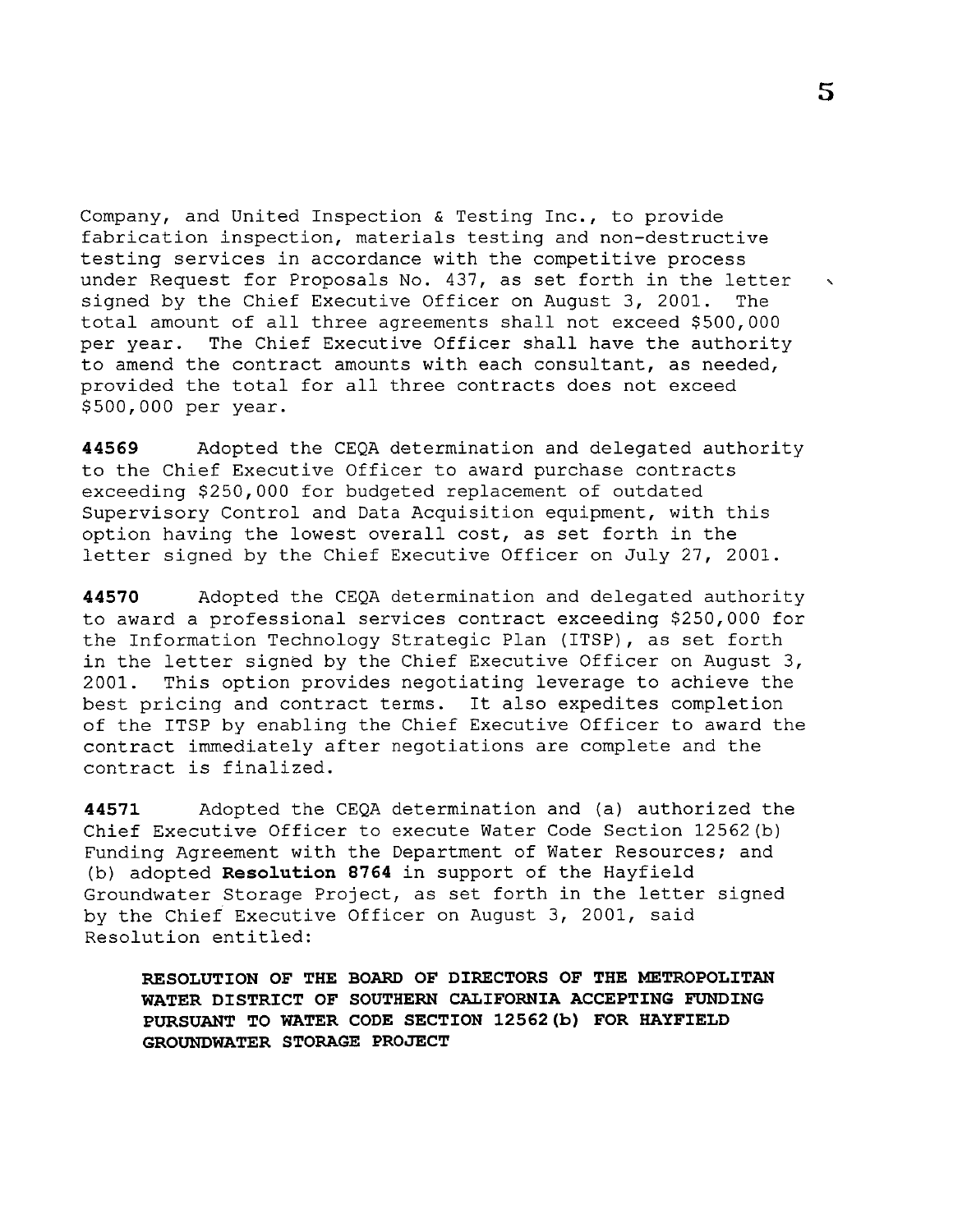Company, and United Inspection & Testing Inc., to provide fabrication inspection, materials testing and non-destructive testing services in accordance with the competitive process under Request for Proposals No. 437, as set forth in the letter , signed by the Chief Executive Officer on August 3, 2001. The signed by the Chief Executive Officer on August 3, 2001. total amount of all three agreements shall not exceed \$500,000<br>per year. The Chief Executive Officer shall have the authorit The Chief Executive Officer shall have the authority to amend the contract amounts with each consultant, as needed, provided the total for all three contracts does not exceed \$500,000 per year.

**44569** Adopted the CEQA determination and delegated authority to the Chief Executive Officer to award purchase contracts exceeding \$250,000 for budgeted replacement of outdated Supervisory Control and Data Acquisition equipment, with this option having the lowest overall cost, as set forth in the letter signed by the Chief Executive Officer on July 27, 2001.

**44570** Adopted the CEQA determination and delegated authority to award a professional services contract exceeding \$250,000 for the Information Technology Strategic Plan (ITSP), as set forth in the letter signed by the Chief Executive Officer on August 3, 2001. This option provides negotiating leverage to achieve the best pricing and contract terms. It also expedites completion of the ITSP by enabling the Chief Executive Officer to award the contract immediately after negotiations are complete and the contract is finalized.

**44571** Adopted the CEQA determination and (a) authorized the Chief Executive Officer to execute Water Code Section 12562(b) Funding Agreement with the Department of Water Resources; and (b) adopted **Reso1ution 8764** in support of the Hayfield Groundwater Storage Project, as set forth in the letter signed by the Chief Executive Officer on August 3, 2001, said Resolution entitled:

**RESOLUTION OF THE BOARD OF DIRECTORS OF THE METROPOLITAN WATER DISTRICT OF SOUTHERN CALIFORNIA ACCEPTING FUNDING PURSUANT TO WATER CODE SECTION 12562(b) FOR HAYFIELD GROUNDWATER STORAGE PROJECT**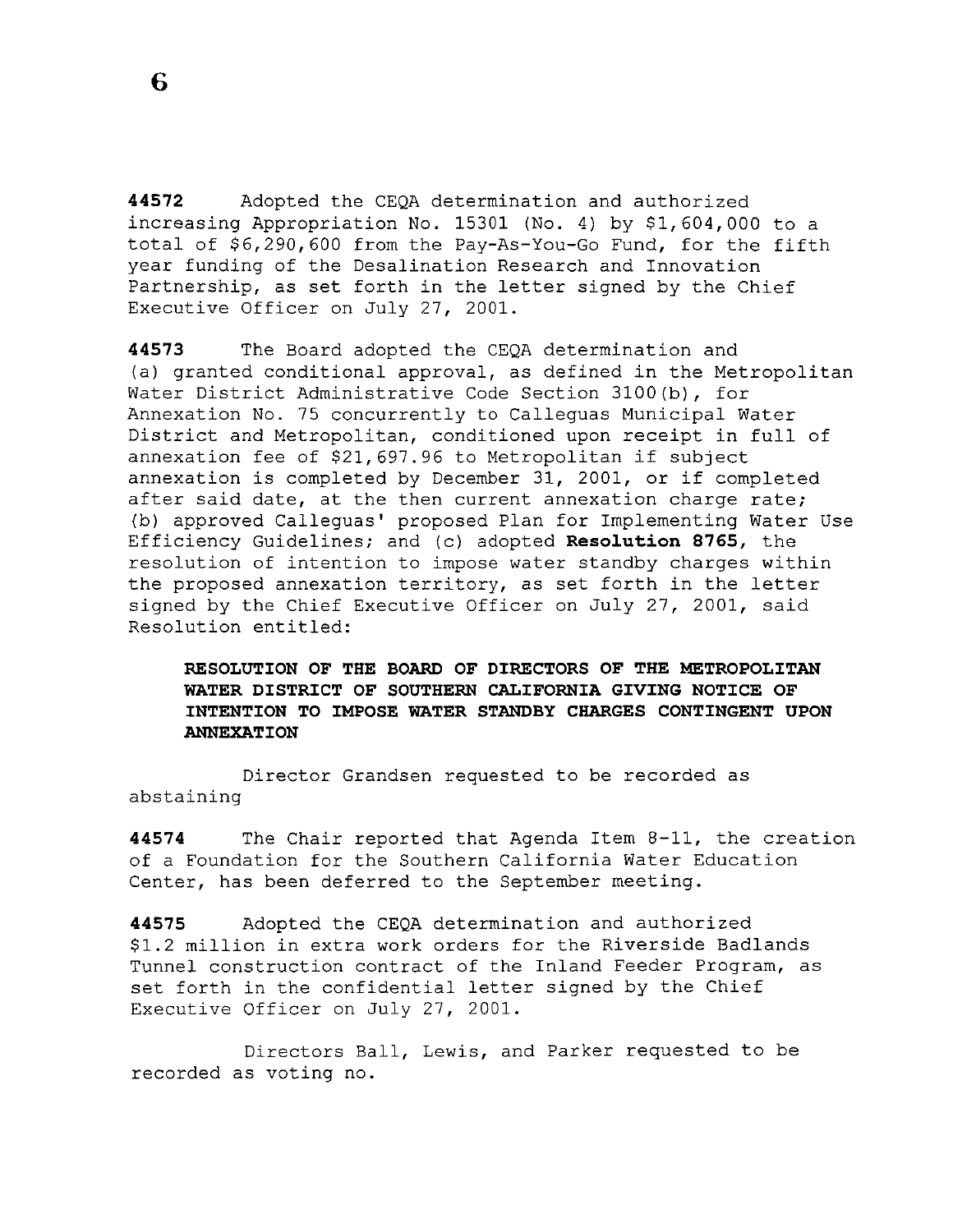**44572** Adopted the CEQA determination and authorized increasing Appropriation No. 15301 (No. 4) by \$1,604,000 to a total of \$6,290,600 from the Pay-As-You-Go Fund, for the fifth year funding of the Desalination Research and Innovation Partnership, as set forth in the letter signed by the Chief Executive Officer on July 27, 2001.

**44573** The Board adopted the CEQA determination and (a) granted conditional approval, as defined in the Metropolitan Water District Administrative Code Section 3100(b), for Annexation No. 75 concurrently to Calleguas Municipal Water District and Metropolitan, conditioned upon receipt in full of annexation fee of \$21,697.96 to Metropolitan if subject annexation is completed by December 31, 2001, or if completed after said date, at the then current annexation charge rate; (b) approved Calleguas' proposed Plan for Implementing Water Use Efficiency Guidelines; and (c) adopted **Resolution 8765,** the resolution of intention to impose water standby charges within the proposed annexation territory, as set forth in the letter signed by the Chief Executive Officer on July 27, 2001, said Resolution entitled:

**RESOLUTION OF THE BOARD OF DIRECTORS OF THE METROPOLITAN WATER DISTRICT OF SOUTHERN CALIFORNIA GIVING NOTICE OF INTENTION TO IMPOSE WATER STANDBY CHARGES CONTINGENT UPON ANNEXATION** 

Director Grandsen requested to be recorded as abstaining

**44574** The Chair reported that Agenda Item 8-11, the creation of a Foundation for the Southern California Water Education Center, has been deferred to the September meeting.

**44575** Adopted the CEQA determination and authorized \$1.2 million in extra work orders for the Riverside Badlands Tunnel construction contract of the Inland Feeder Program, as set forth in the confidential letter signed by the Chief Executive Officer on July 27, 2001.

Directors Ball, Lewis, and Parker requested to be recorded as voting no.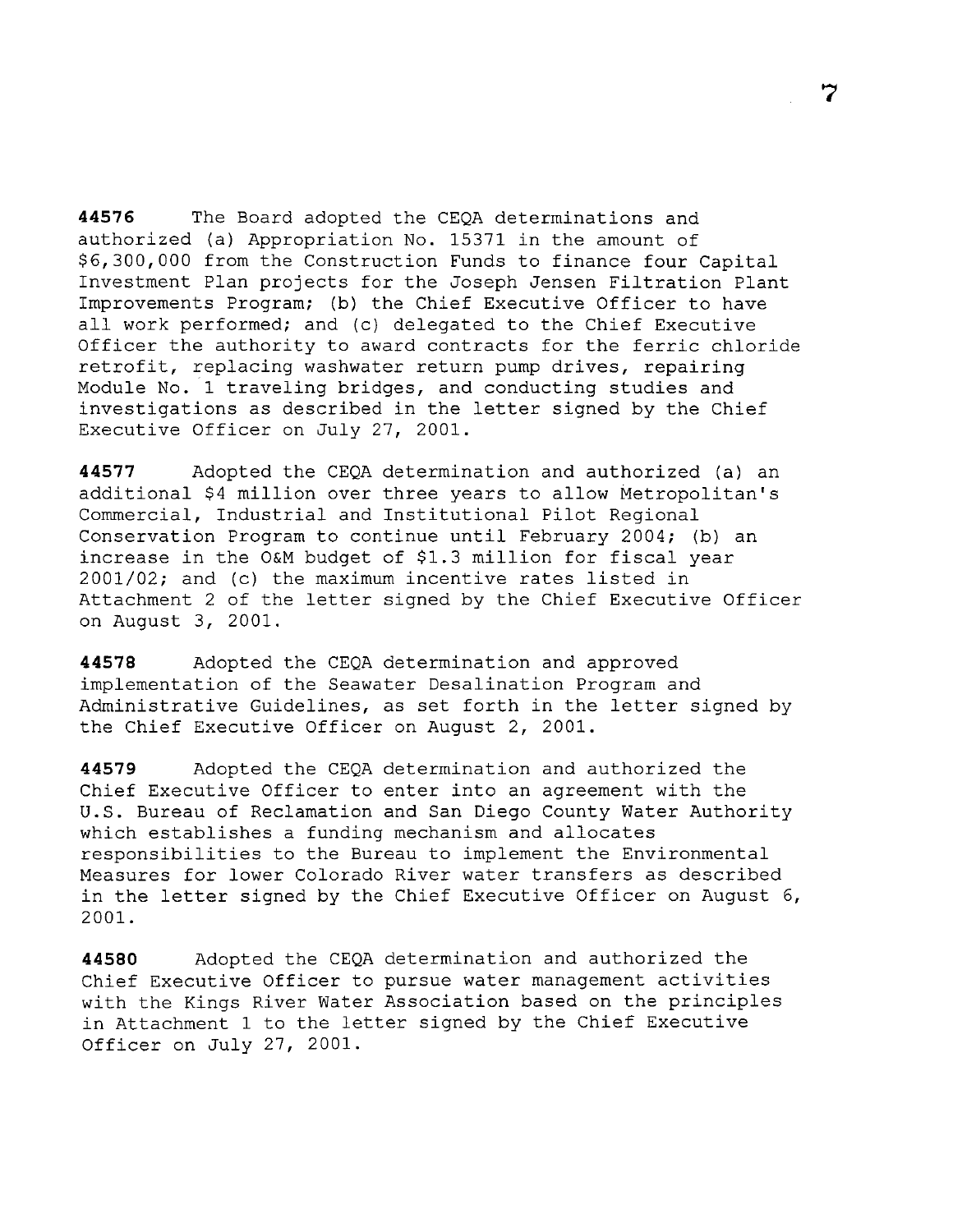**44576** The Board adopted the CEQA determinations and authorized (a) Appropriation No. 15371 in the amount of \$6,300,000 from the Construction Funds to finance four Capital Investment Plan projects for the Joseph Jensen Filtration Plant Improvements Program; (b) the Chief Executive Officer to have all work performed; and (c) delegated to the Chief Executive Officer the authority to award contracts for the ferric chloride retrofit, replacing washwater return pump drives, repairing Module No. 1 traveling bridges, and conducting studies and investigations as described in the letter signed by the Chief Executive Officer on July 27, 2001.

**44577** Adopted the CEQA determination and authorized (a) an additional \$4 million over three years to allow Metropolitan's Commercial, Industrial and Institutional Pilot Regional Conservation Program to continue until February 2004; (b) an increase in the O&M budget of \$1.3 million for fiscal year 2001/02; and (c) the maximum incentive rates listed in Attachment 2 of the letter signed by the Chief Executive Officer on August 3, 2001.

**44578** Adopted the CEQA determination and approved implementation of the Seawater Desalination Program and Administrative Guidelines, as set forth in the letter signed by the Chief Executive Officer on August 2, 2001.

**44579** Adopted the CEQA determination and authorized the Chief Executive Officer to enter into an agreement with the U.S. Bureau of Reclamation and San Diego County Water Authority which establishes a funding mechanism and allocates responsibilities to the Bureau to implement the Environmental Measures for lower Colorado River water transfers as described in the letter signed by the Chief Executive Officer on August 6, 2001.

**44580** Adopted the CEQA determination and authorized the Chief Executive Officer to pursue water management activities with the Kings River Water Association based on the principles in Attachment 1 to the letter signed by the Chief Executive Officer on July 27, 2001.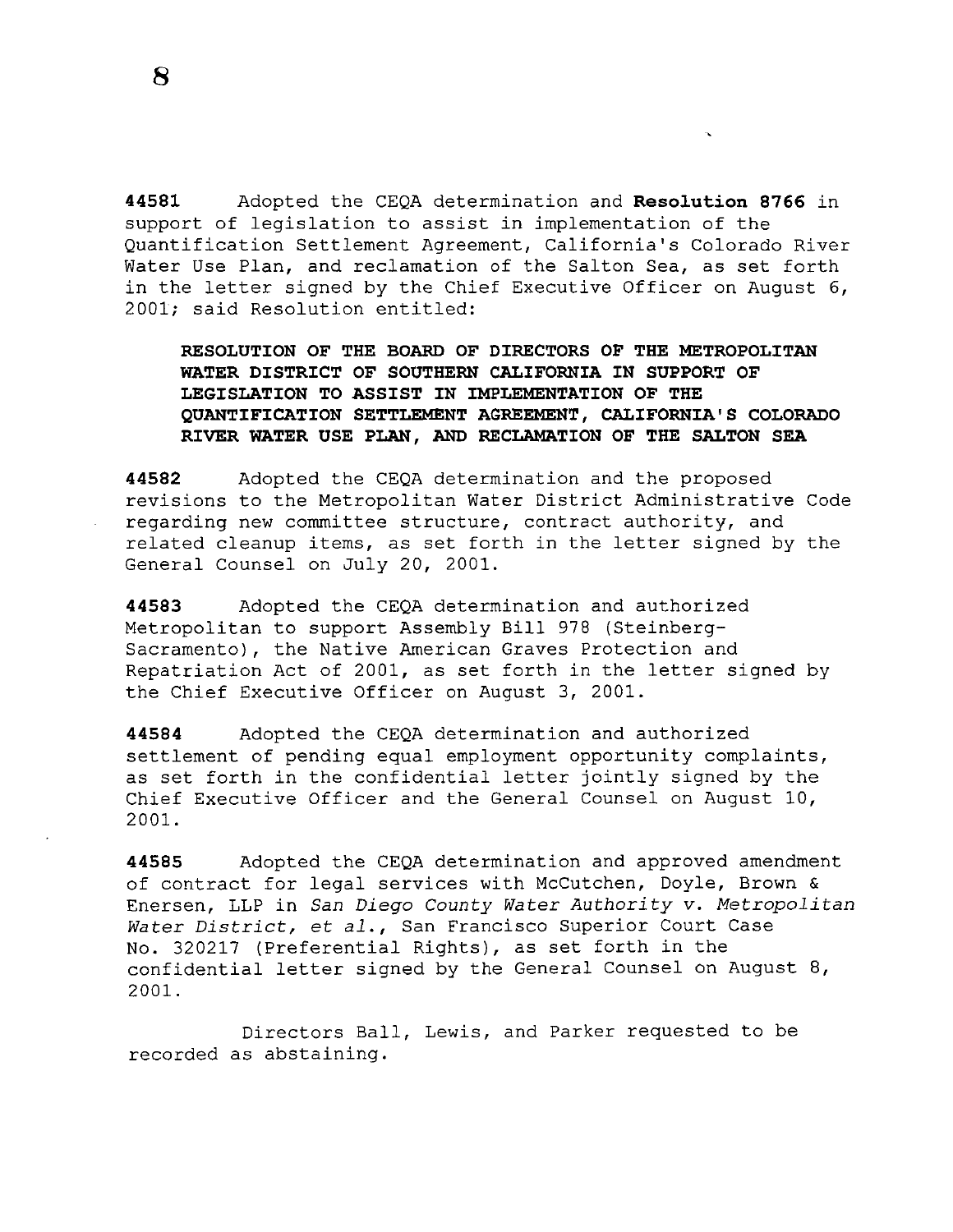**44581** Adopted the CEQA determination and **Resolution 8766** in support of legislation to assist in implementation of the Quantification Settlement Agreement, California's Colorado River Water Use Plan, and reclamation of the Salton Sea, as set forth in the letter signed by the Chief Executive Officer on August 6, 2001; said Resolution entitled:

**RESOLUTION OF THE BOARD OF DIRECTORS OF THE METROPOLITAN WATER DISTRICT OF SOUTHERN CALIFORNIA IN SUPPORT OF LEGISLATION TO ASSIST IN IMPLEMENTATION OF THE QUANTIFICATION SETTLEMENT AGREEMENT, CALIFORNIA'S COLORADO RIVER WATER USE PLAN, AND RECLAMATION OF THE SALTON SEA** 

**44582** Adopted the CEQA determination and the proposed revisions to the Metropolitan Water District Administrative Code regarding new committee structure, contract authority, and related cleanup items, as set forth in the letter signed by the General Counsel on July 20, 2001.

**44583** Adopted the CEQA determination and authorized Metropolitan to support Assembly Bill 978 (Steinberg-Sacramento), the Native American Graves Protection and Repatriation Act of 2001, as set forth in the letter signed by the Chief Executive Officer on August 3, 2001.

**44584** Adopted the CEQA determination and authorized settlement of pending equal employment opportunity complaints, as set forth in the confidential letter jointly signed by the Chief Executive Officer and the General Counsel on August 10, 2001.

**44585** Adopted the CEQA determination and approved amendment of contract for legal services with McCutchen, Doyle, Brown & Enersen, LLP in *San Diego County Water Authority v. Metropolitan Water District,* et *al.,* San Francisco Superior Court Case No. 320217 (Preferential Rights), as set forth in the confidential letter signed by the General Counsel on August 8, 2001.

Directors Ball, Lewis, and Parker requested to be recorded as abstaining.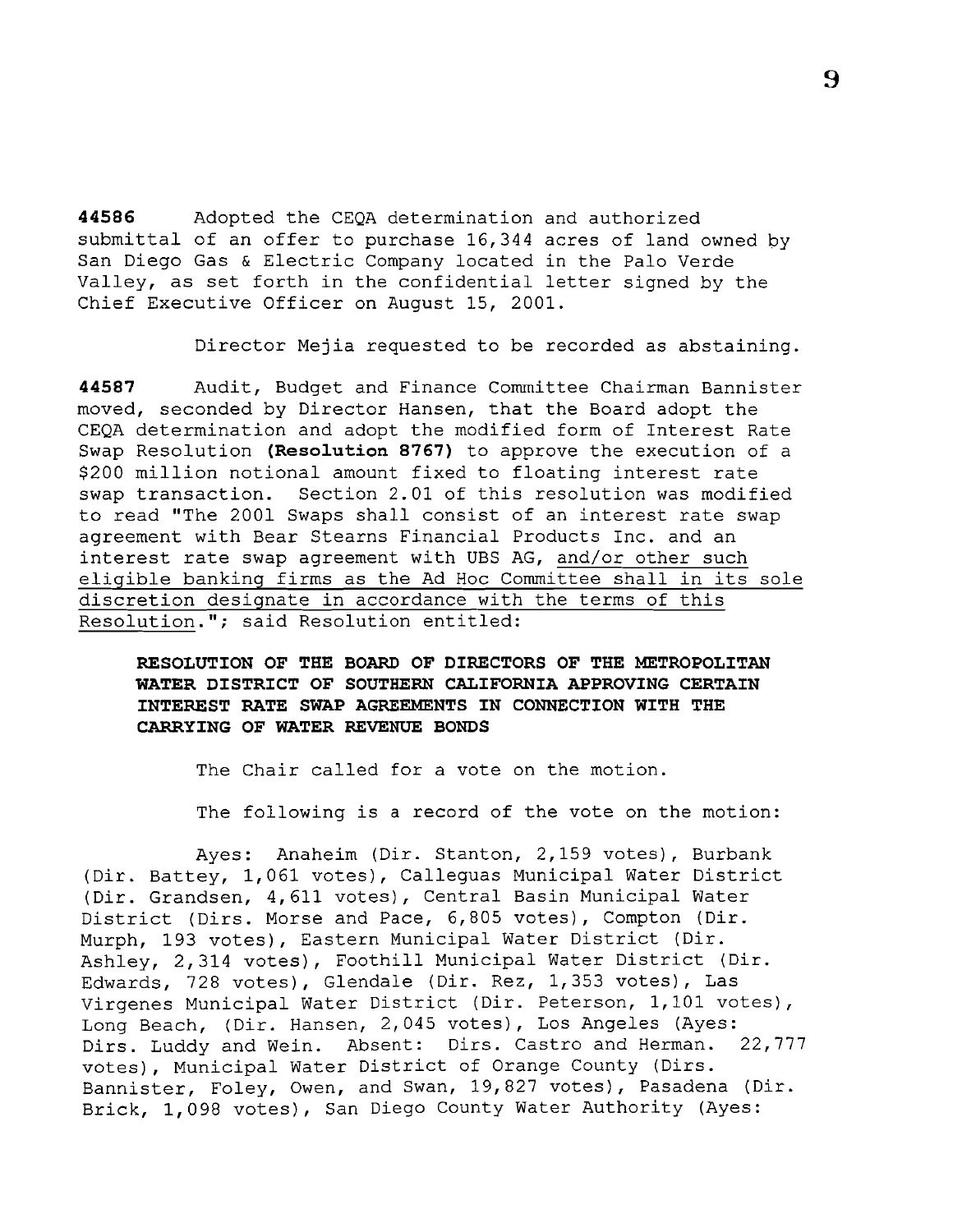**44586** Adopted the CEQA determination and authorized submittal of an offer to purchase 16,344 acres of land owned by San Diego Gas & Electric Company located in the Palo Verde Valley, as set forth in the confidential letter signed by the Chief Executive Officer on August 15, 2001.

Director Mejia requested to be recorded as abstaining.

**44587** Audit, Budget and Finance Committee Chairman Bannister moved, seconded by Director Hansen, that the Board adopt the CEQA determination and adopt the modified form of Interest Rate Swap Resolution **(Resolution 8767)** to approve the execution of a \$200 million notional amount fixed to floating interest rate swap transaction. Section 2.01 of this resolution was modified to read ''The 2001 Swaps shall consist of an interest rate swap agreement with Bear Stearns Financial Products Inc. and an interest rate swap agreement with UBS AG, and/or other such eligible banking firms as the Ad Hoc Committee shall in its sole discretion designate in accordance with the terms of this Resolution."; said Resolution entitled:

**RESOLUTION OF THE BOARD OF DIRECTORS OF THE METROPOLITAN WATER DISTRICT OF SOUTHERN CALIFORNIA APPROVING CERTAIN INTEREST RATE SWAP AGREEMENTS IN CONNECTION WITH THE CARRYING OF WATER REVENUE BONDS** 

The Chair called for a vote on the motion.

The following is a record of the vote on the motion:

Ayes: Anaheim (Dir. Stanton, 2,159 votes), Burbank (Dir. Battey, 1,061 votes), Calleguas Municipal Water District (Dir. Grandsen, 4,611 votes), Central Basin Municipal Water District (Dirs. Morse and Pace, 6,805 votes), Compton (Dir. Murph, 193 votes), Eastern Municipal Water District (Dir. Ashley, 2,314 votes), Foothill Municipal Water District (Dir. Edwards, 728 votes), Glendale (Dir. Rez, 1,353 votes), Las Virgenes Municipal Water District (Dir. Peterson, 1,101 votes), Long Beach, (Dir. Hansen, 2,045 votes), Los Angeles (Ayes:<br>Dirs. Luddy and Wein. Absent: Dirs. Castro and Herman. 22,777 Dirs. Luddy and Wein. Absent: Dirs. Castro and Herman. votes), Municipal Water District of Orange County (Dirs. Bannister, Foley, Owen, and Swan, 19,827 votes), Pasadena (Dir. Brick, 1,098 votes), San Diego County Water Authority (Ayes: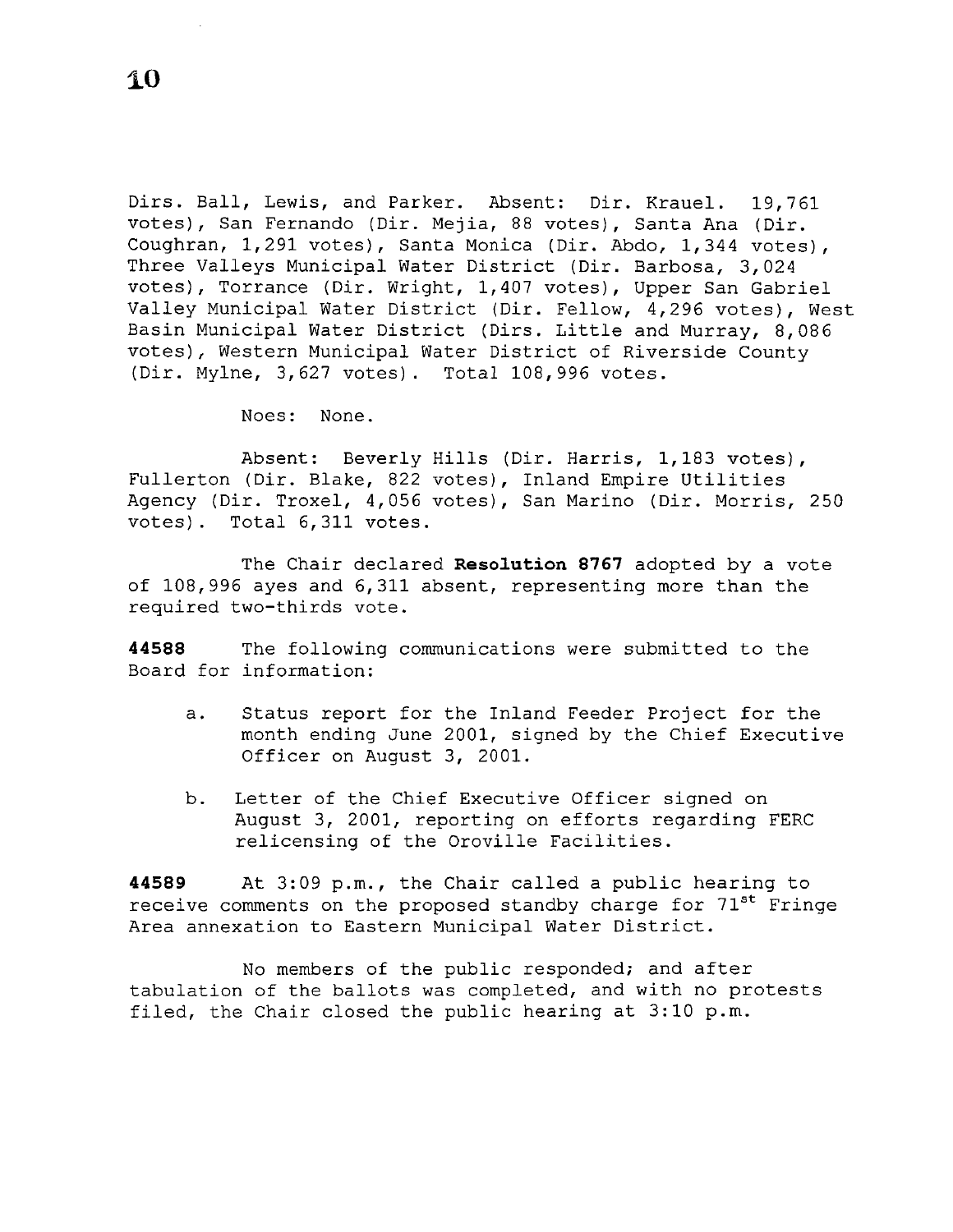Dirs. Ball, Lewis, and Parker. Absent: Dir. Krauel. 19,761 votes), San Fernando (Dir. Mejia, 88 votes), Santa Ana (Dir. Coughran, 1,291 votes), Santa Monica (Dir. Abdo, 1,344 votes), Three Valleys Municipal Water District (Dir. Barbosa, 3,024 votes), Torrance (Dir. Wright, 1,407 votes), Upper San Gabriel Valley Municipal Water District (Dir. Fellow, 4,296 votes), West Basin Municipal Water District (Dirs. Little and Murray, 8,086 votes), Western Municipal Water District of Riverside County (Dir. Mylne, 3,627 votes). Total 108,996 votes.

Noes: None.

Absent: Beverly Hills (Dir. Harris, 1,183 votes), Fullerton (Dir. Blake, 822 votes), Inland Empire Utilities Agency (Dir. Troxel, 4,056 votes), San Marino (Dir. Morris, 250 votes). Total 6,311 votes.

The Chair declared **Resolution 8767** adopted by a vote of 108,996 ayes and 6,311 absent, representing more than the required two-thirds vote.

**44588** The following communications were submitted to the Board for information:

- a. Status report for the Inland Feeder Project for the month ending June 2001, signed by the Chief Executive Officer on August 3, 2001.
- b. Letter of the Chief Executive Officer signed on August 3, 2001, reporting on efforts regarding FERC relicensing of the Oroville Facilities.

**44589** At 3:09p.m., the Chair called a public hearing to receive comments on the proposed standby charge for 71<sup>st</sup> Fringe Area annexation to Eastern Municipal Water District.

No members of the public responded; and after tabulation of the ballots was completed, and with no protests filed, the Chair closed the public hearing at  $3:10$  p.m.